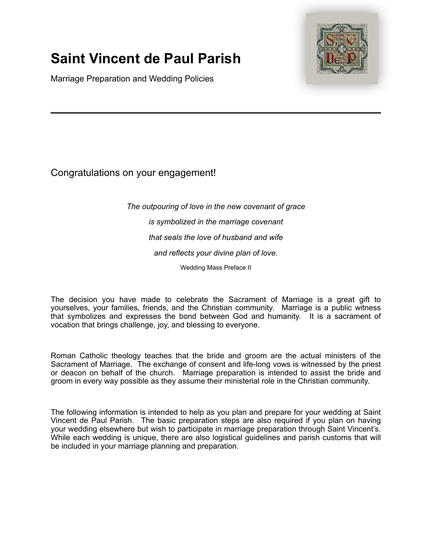## **Saint Vincent de Paul Parish**

Marriage Preparation and Wedding Policies



Congratulations on your engagement!

*The outpouring of love in the new covenant of grace is symbolized in the marriage covenant that seals the love of husband and wife and reflects your divine plan of love.* Wedding Mass Preface II

The decision you have made to celebrate the Sacrament of Marriage is a great gift to yourselves, your families, friends, and the Christian community. Marriage is a public witness that symbolizes and expresses the bond between God and humanity. It is a sacrament of vocation that brings challenge, joy, and blessing to everyone.

Roman Catholic theology teaches that the bride and groom are the actual ministers of the Sacrament of Marriage. The exchange of consent and life-long vows is witnessed by the priest or deacon on behalf of the church. Marriage preparation is intended to assist the bride and groom in every way possible as they assume their ministerial role in the Christian community.

The following information is intended to help as you plan and prepare for your wedding at Saint Vincent de Paul Parish. The basic preparation steps are also required if you plan on having your wedding elsewhere but wish to participate in marriage preparation through Saint Vincent's. While each wedding is unique, there are also logistical guidelines and parish customs that will be included in your marriage planning and preparation.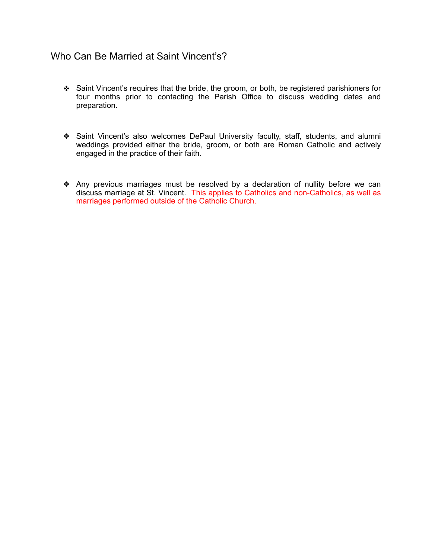## Who Can Be Married at Saint Vincent's?

- ❖ Saint Vincent's requires that the bride, the groom, or both, be registered parishioners for four months prior to contacting the Parish Office to discuss wedding dates and preparation.
- ❖ Saint Vincent's also welcomes DePaul University faculty, staff, students, and alumni weddings provided either the bride, groom, or both are Roman Catholic and actively engaged in the practice of their faith.
- ❖ Any previous marriages must be resolved by a declaration of nullity before we can discuss marriage at St. Vincent. This applies to Catholics and non-Catholics, as well as marriages performed outside of the Catholic Church.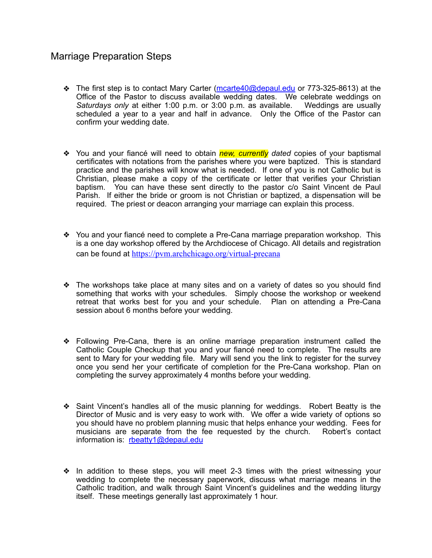## Marriage Preparation Steps

- ❖ The first step is to contact Mary Carter ([mcarte40@depaul.edu](mailto:mcarte40@depaul.edu) or 773-325-8613) at the Office of the Pastor to discuss available wedding dates. We celebrate weddings on Saturdays only at either 1:00 p.m. or 3:00 p.m. as available. Weddings are usually *Saturdays only* at either 1:00 p.m. or 3:00 p.m. as available. scheduled a year to a year and half in advance. Only the Office of the Pastor can confirm your wedding date.
- ❖ You and your fiancé will need to obtain *new, currently dated* copies of your baptismal certificates with notations from the parishes where you were baptized. This is standard practice and the parishes will know what is needed. If one of you is not Catholic but is Christian, please make a copy of the certificate or letter that verifies your Christian baptism. You can have these sent directly to the pastor c/o Saint Vincent de Paul Parish. If either the bride or groom is not Christian or baptized, a dispensation will be required. The priest or deacon arranging your marriage can explain this process.
- ❖ You and your fiancé need to complete a Pre-Cana marriage preparation workshop. This is a one day workshop offered by the Archdiocese of Chicago. All details and registration can be found at <https://pvm.archchicago.org/virtual-precana>
- ❖ The workshops take place at many sites and on a variety of dates so you should find something that works with your schedules. Simply choose the workshop or weekend retreat that works best for you and your schedule. Plan on attending a Pre-Cana session about 6 months before your wedding.
- ❖ Following Pre-Cana, there is an online marriage preparation instrument called the Catholic Couple Checkup that you and your fiancé need to complete. The results are sent to Mary for your wedding file. Mary will send you the link to register for the survey once you send her your certificate of completion for the Pre-Cana workshop. Plan on completing the survey approximately 4 months before your wedding.
- ❖ Saint Vincent's handles all of the music planning for weddings. Robert Beatty is the Director of Music and is very easy to work with. We offer a wide variety of options so you should have no problem planning music that helps enhance your wedding. Fees for musicians are separate from the fee requested by the church. Robert's contact information is: [rbeatty1@depaul.edu](mailto:rbeatty1@depaul.edu)
- ❖ In addition to these steps, you will meet 2-3 times with the priest witnessing your wedding to complete the necessary paperwork, discuss what marriage means in the Catholic tradition, and walk through Saint Vincent's guidelines and the wedding liturgy itself. These meetings generally last approximately 1 hour.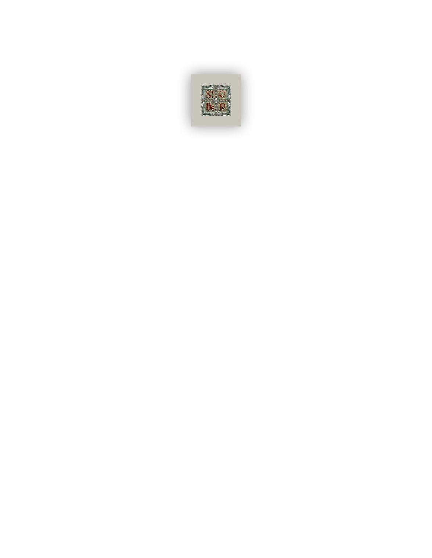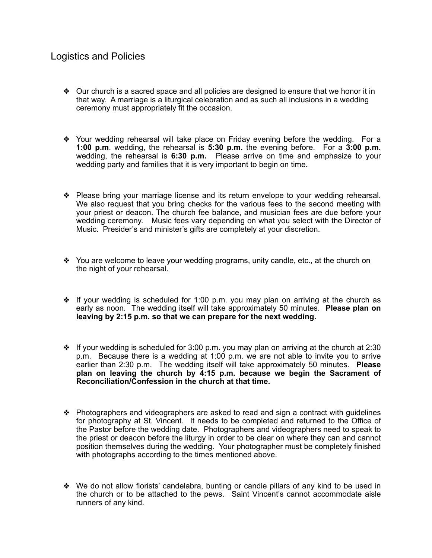## Logistics and Policies

- $\triangle$  Our church is a sacred space and all policies are designed to ensure that we honor it in that way. A marriage is a liturgical celebration and as such all inclusions in a wedding ceremony must appropriately fit the occasion.
- ❖ Your wedding rehearsal will take place on Friday evening before the wedding. For a **1:00 p.m**. wedding, the rehearsal is **5:30 p.m.** the evening before. For a **3:00 p.m.** wedding, the rehearsal is **6:30 p.m.** Please arrive on time and emphasize to your wedding party and families that it is very important to begin on time.
- ❖ Please bring your marriage license and its return envelope to your wedding rehearsal. We also request that you bring checks for the various fees to the second meeting with your priest or deacon. The church fee balance, and musician fees are due before your wedding ceremony. Music fees vary depending on what you select with the Director of Music. Presider's and minister's gifts are completely at your discretion.
- ❖ You are welcome to leave your wedding programs, unity candle, etc., at the church on the night of your rehearsal.
- $\bullet$  If your wedding is scheduled for 1:00 p.m. you may plan on arriving at the church as early as noon. The wedding itself will take approximately 50 minutes. **Please plan on leaving by 2:15 p.m. so that we can prepare for the next wedding.**
- $\bullet$  If your wedding is scheduled for 3:00 p.m. you may plan on arriving at the church at 2:30 p.m. Because there is a wedding at 1:00 p.m. we are not able to invite you to arrive earlier than 2:30 p.m. The wedding itself will take approximately 50 minutes. **Please plan on leaving the church by 4:15 p.m. because we begin the Sacrament of Reconciliation/Confession in the church at that time.**
- ❖ Photographers and videographers are asked to read and sign a contract with guidelines for photography at St. Vincent. It needs to be completed and returned to the Office of the Pastor before the wedding date. Photographers and videographers need to speak to the priest or deacon before the liturgy in order to be clear on where they can and cannot position themselves during the wedding. Your photographer must be completely finished with photographs according to the times mentioned above.
- ❖ We do not allow florists' candelabra, bunting or candle pillars of any kind to be used in the church or to be attached to the pews. Saint Vincent's cannot accommodate aisle runners of any kind.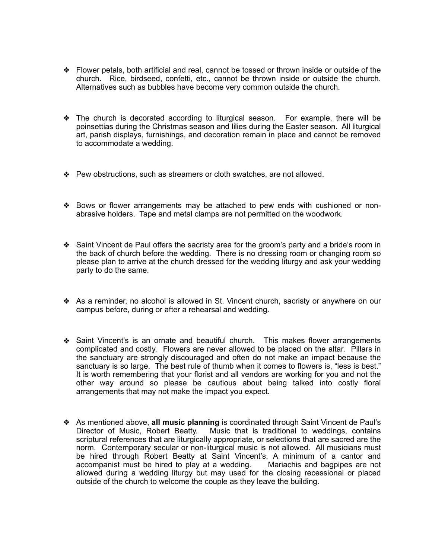- ❖ Flower petals, both artificial and real, cannot be tossed or thrown inside or outside of the church. Rice, birdseed, confetti, etc., cannot be thrown inside or outside the church. Alternatives such as bubbles have become very common outside the church.
- ❖ The church is decorated according to liturgical season. For example, there will be poinsettias during the Christmas season and lilies during the Easter season. All liturgical art, parish displays, furnishings, and decoration remain in place and cannot be removed to accommodate a wedding.
- ❖ Pew obstructions, such as streamers or cloth swatches, are not allowed.
- ❖ Bows or flower arrangements may be attached to pew ends with cushioned or nonabrasive holders. Tape and metal clamps are not permitted on the woodwork.
- ❖ Saint Vincent de Paul offers the sacristy area for the groom's party and a bride's room in the back of church before the wedding. There is no dressing room or changing room so please plan to arrive at the church dressed for the wedding liturgy and ask your wedding party to do the same.
- ❖ As a reminder, no alcohol is allowed in St. Vincent church, sacristy or anywhere on our campus before, during or after a rehearsal and wedding.
- ❖ Saint Vincent's is an ornate and beautiful church. This makes flower arrangements complicated and costly. Flowers are never allowed to be placed on the altar. Pillars in the sanctuary are strongly discouraged and often do not make an impact because the sanctuary is so large. The best rule of thumb when it comes to flowers is, "less is best." It is worth remembering that your florist and all vendors are working for you and not the other way around so please be cautious about being talked into costly floral arrangements that may not make the impact you expect.
- ❖ As mentioned above, **all music planning** is coordinated through Saint Vincent de Paul's Director of Music, Robert Beatty. Music that is traditional to weddings, contains scriptural references that are liturgically appropriate, or selections that are sacred are the norm. Contemporary secular or non-liturgical music is not allowed. All musicians must be hired through Robert Beatty at Saint Vincent's. A minimum of a cantor and accompanist must be hired to play at a wedding. Mariachis and bagpipes are not allowed during a wedding liturgy but may used for the closing recessional or placed outside of the church to welcome the couple as they leave the building.